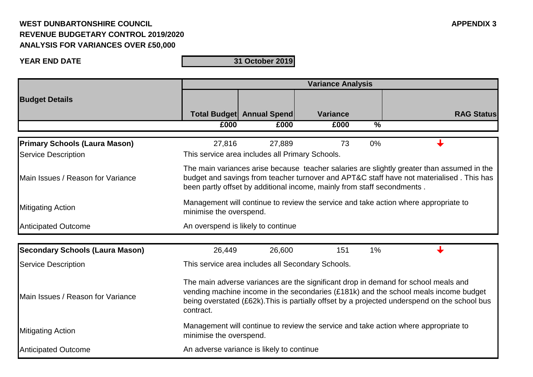## **WEST DUNBARTONSHIRE COUNCIL APPENDIX 3 REVENUE BUDGETARY CONTROL 2019/2020 ANALYSIS FOR VARIANCES OVER £50,000**

**YEAR END DATE**

**31 October 2019**

|                                        | <b>Variance Analysis</b>                                                                                                                                                                                                                                                                 |                                  |                 |               |                   |  |
|----------------------------------------|------------------------------------------------------------------------------------------------------------------------------------------------------------------------------------------------------------------------------------------------------------------------------------------|----------------------------------|-----------------|---------------|-------------------|--|
| <b>Budget Details</b>                  |                                                                                                                                                                                                                                                                                          |                                  |                 |               |                   |  |
|                                        |                                                                                                                                                                                                                                                                                          | <b>Total Budget Annual Spend</b> | <b>Variance</b> |               | <b>RAG Status</b> |  |
|                                        | £000                                                                                                                                                                                                                                                                                     | £000                             | £000            | $\frac{0}{6}$ |                   |  |
| <b>Primary Schools (Laura Mason)</b>   | 27,816                                                                                                                                                                                                                                                                                   | 27,889                           | 73              | 0%            |                   |  |
| <b>Service Description</b>             | This service area includes all Primary Schools.                                                                                                                                                                                                                                          |                                  |                 |               |                   |  |
| Main Issues / Reason for Variance      | The main variances arise because teacher salaries are slightly greater than assumed in the<br>budget and savings from teacher turnover and APT&C staff have not materialised. This has<br>been partly offset by additional income, mainly from staff secondments.                        |                                  |                 |               |                   |  |
| <b>Mitigating Action</b>               | Management will continue to review the service and take action where appropriate to<br>minimise the overspend.                                                                                                                                                                           |                                  |                 |               |                   |  |
| <b>Anticipated Outcome</b>             | An overspend is likely to continue                                                                                                                                                                                                                                                       |                                  |                 |               |                   |  |
| <b>Secondary Schools (Laura Mason)</b> | 26,449                                                                                                                                                                                                                                                                                   | 26,600                           | 151             | 1%            |                   |  |
| <b>Service Description</b>             | This service area includes all Secondary Schools.                                                                                                                                                                                                                                        |                                  |                 |               |                   |  |
| Main Issues / Reason for Variance      | The main adverse variances are the significant drop in demand for school meals and<br>vending machine income in the secondaries (£181k) and the school meals income budget<br>being overstated (£62k). This is partially offset by a projected underspend on the school bus<br>contract. |                                  |                 |               |                   |  |
| <b>Mitigating Action</b>               | Management will continue to review the service and take action where appropriate to<br>minimise the overspend.                                                                                                                                                                           |                                  |                 |               |                   |  |
| <b>Anticipated Outcome</b>             | An adverse variance is likely to continue                                                                                                                                                                                                                                                |                                  |                 |               |                   |  |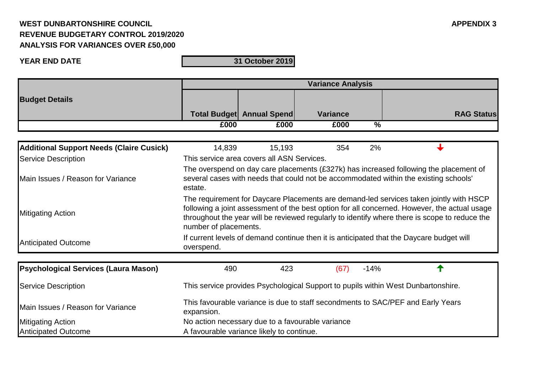## **WEST DUNBARTONSHIRE COUNCIL APPENDIX 3 REVENUE BUDGETARY CONTROL 2019/2020 ANALYSIS FOR VARIANCES OVER £50,000**

**YEAR END DATE**

**31 October 2019**

|                                                 | <b>Variance Analysis</b>                                                                                                                                                                                                                                                                                         |                                            |                 |               |                   |  |
|-------------------------------------------------|------------------------------------------------------------------------------------------------------------------------------------------------------------------------------------------------------------------------------------------------------------------------------------------------------------------|--------------------------------------------|-----------------|---------------|-------------------|--|
| <b>Budget Details</b>                           |                                                                                                                                                                                                                                                                                                                  | <b>Total Budget Annual Spend</b>           | <b>Variance</b> |               | <b>RAG Status</b> |  |
|                                                 | £000                                                                                                                                                                                                                                                                                                             | £000                                       | £000            | $\frac{0}{6}$ |                   |  |
|                                                 |                                                                                                                                                                                                                                                                                                                  |                                            |                 |               |                   |  |
| <b>Additional Support Needs (Claire Cusick)</b> | 14,839                                                                                                                                                                                                                                                                                                           | 15,193                                     | 354             | 2%            |                   |  |
| <b>Service Description</b>                      |                                                                                                                                                                                                                                                                                                                  | This service area covers all ASN Services. |                 |               |                   |  |
| Main Issues / Reason for Variance               | The overspend on day care placements (£327k) has increased following the placement of<br>several cases with needs that could not be accommodated within the existing schools'<br>estate.                                                                                                                         |                                            |                 |               |                   |  |
| <b>Mitigating Action</b>                        | The requirement for Daycare Placements are demand-led services taken jointly with HSCP<br>following a joint assessment of the best option for all concerned. However, the actual usage<br>throughout the year will be reviewed regularly to identify where there is scope to reduce the<br>number of placements. |                                            |                 |               |                   |  |
| <b>Anticipated Outcome</b>                      | If current levels of demand continue then it is anticipated that the Daycare budget will<br>overspend.                                                                                                                                                                                                           |                                            |                 |               |                   |  |
| <b>Psychological Services (Laura Mason)</b>     | 490                                                                                                                                                                                                                                                                                                              | 423                                        | (67)            | $-14%$        |                   |  |
|                                                 |                                                                                                                                                                                                                                                                                                                  |                                            |                 |               |                   |  |
| <b>Service Description</b>                      | This service provides Psychological Support to pupils within West Dunbartonshire.                                                                                                                                                                                                                                |                                            |                 |               |                   |  |
|                                                 |                                                                                                                                                                                                                                                                                                                  |                                            |                 |               |                   |  |

| Main Issues / Reason for Variance | This favourable variance is due to staff secondments to SAC/PEF and Early Years<br>expansion. |  |  |  |
|-----------------------------------|-----------------------------------------------------------------------------------------------|--|--|--|
| <b>Mitigating Action</b>          | No action necessary due to a favourable variance                                              |  |  |  |
| <b>Anticipated Outcome</b>        | A favourable variance likely to continue.                                                     |  |  |  |